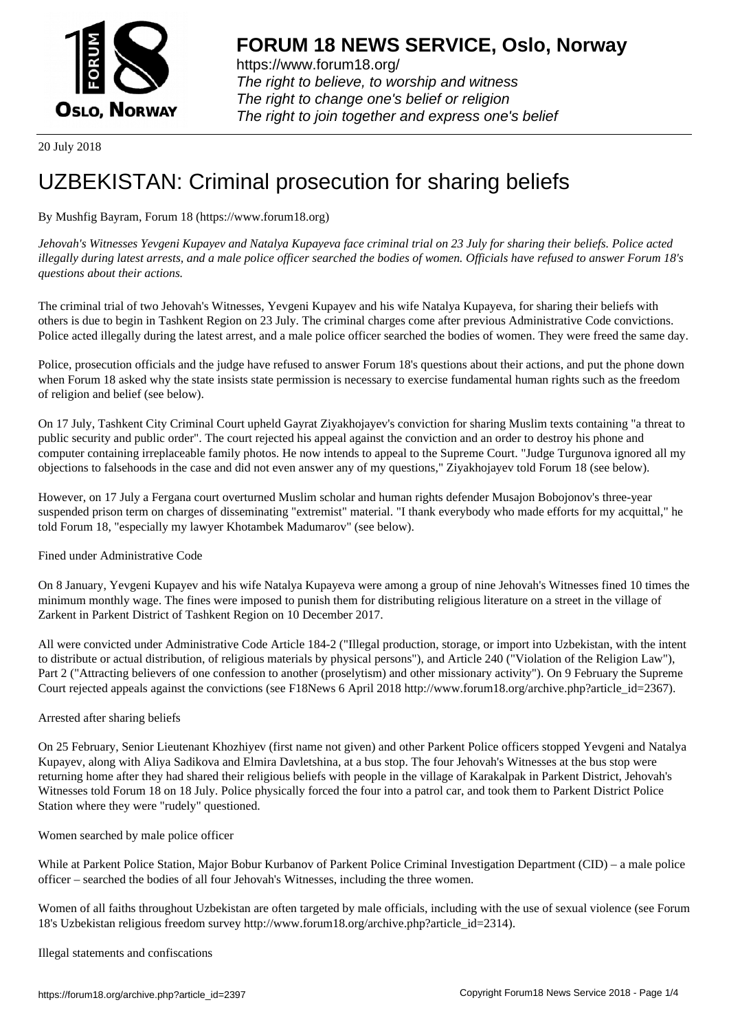

https://www.forum18.org/ The right to believe, to worship and witness The right to change one's belief or religion [The right to join together a](https://www.forum18.org/)nd express one's belief

20 July 2018

# [UZBEKISTAN:](https://www.forum18.org) Criminal prosecution for sharing beliefs

## By Mushfig Bayram, Forum 18 (https://www.forum18.org)

*Jehovah's Witnesses Yevgeni Kupayev and Natalya Kupayeva face criminal trial on 23 July for sharing their beliefs. Police acted illegally during latest arrests, and a male police officer searched the bodies of women. Officials have refused to answer Forum 18's questions about their actions.*

The criminal trial of two Jehovah's Witnesses, Yevgeni Kupayev and his wife Natalya Kupayeva, for sharing their beliefs with others is due to begin in Tashkent Region on 23 July. The criminal charges come after previous Administrative Code convictions. Police acted illegally during the latest arrest, and a male police officer searched the bodies of women. They were freed the same day.

Police, prosecution officials and the judge have refused to answer Forum 18's questions about their actions, and put the phone down when Forum 18 asked why the state insists state permission is necessary to exercise fundamental human rights such as the freedom of religion and belief (see below).

On 17 July, Tashkent City Criminal Court upheld Gayrat Ziyakhojayev's conviction for sharing Muslim texts containing "a threat to public security and public order". The court rejected his appeal against the conviction and an order to destroy his phone and computer containing irreplaceable family photos. He now intends to appeal to the Supreme Court. "Judge Turgunova ignored all my objections to falsehoods in the case and did not even answer any of my questions," Ziyakhojayev told Forum 18 (see below).

However, on 17 July a Fergana court overturned Muslim scholar and human rights defender Musajon Bobojonov's three-year suspended prison term on charges of disseminating "extremist" material. "I thank everybody who made efforts for my acquittal," he told Forum 18, "especially my lawyer Khotambek Madumarov" (see below).

### Fined under Administrative Code

On 8 January, Yevgeni Kupayev and his wife Natalya Kupayeva were among a group of nine Jehovah's Witnesses fined 10 times the minimum monthly wage. The fines were imposed to punish them for distributing religious literature on a street in the village of Zarkent in Parkent District of Tashkent Region on 10 December 2017.

All were convicted under Administrative Code Article 184-2 ("Illegal production, storage, or import into Uzbekistan, with the intent to distribute or actual distribution, of religious materials by physical persons"), and Article 240 ("Violation of the Religion Law"), Part 2 ("Attracting believers of one confession to another (proselytism) and other missionary activity"). On 9 February the Supreme Court rejected appeals against the convictions (see F18News 6 April 2018 http://www.forum18.org/archive.php?article\_id=2367).

### Arrested after sharing beliefs

On 25 February, Senior Lieutenant Khozhiyev (first name not given) and other Parkent Police officers stopped Yevgeni and Natalya Kupayev, along with Aliya Sadikova and Elmira Davletshina, at a bus stop. The four Jehovah's Witnesses at the bus stop were returning home after they had shared their religious beliefs with people in the village of Karakalpak in Parkent District, Jehovah's Witnesses told Forum 18 on 18 July. Police physically forced the four into a patrol car, and took them to Parkent District Police Station where they were "rudely" questioned.

### Women searched by male police officer

While at Parkent Police Station, Major Bobur Kurbanov of Parkent Police Criminal Investigation Department (CID) – a male police officer – searched the bodies of all four Jehovah's Witnesses, including the three women.

Women of all faiths throughout Uzbekistan are often targeted by male officials, including with the use of sexual violence (see Forum 18's Uzbekistan religious freedom survey http://www.forum18.org/archive.php?article\_id=2314).

Illegal statements and confiscations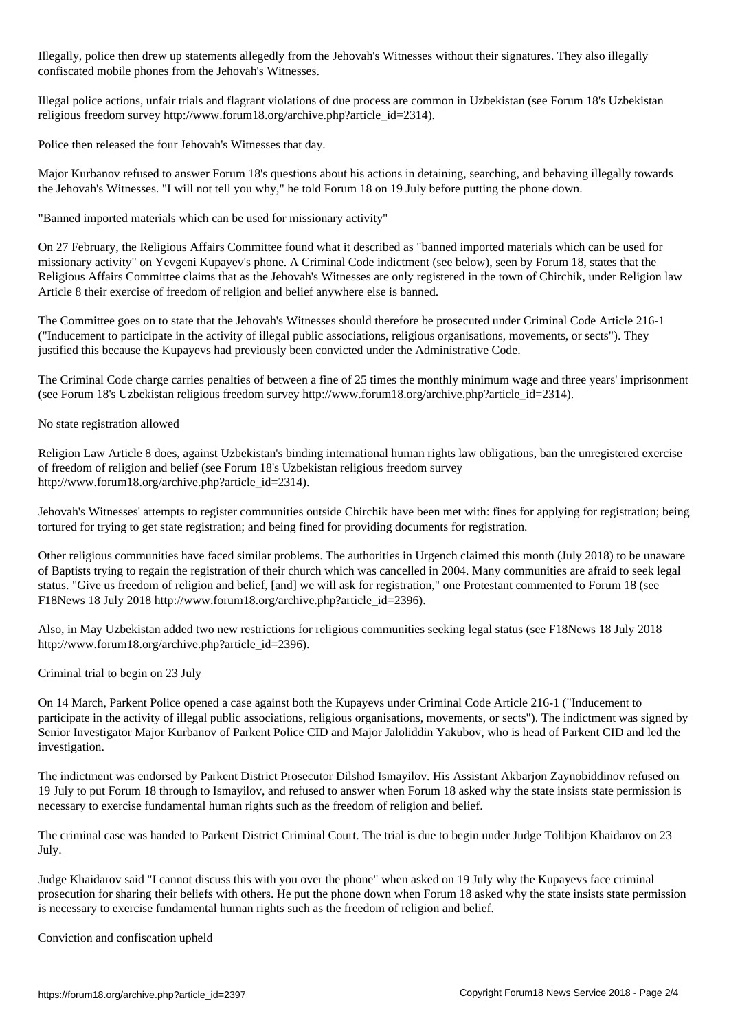Illegally, police then drew up statements allegedly from the Jehovah's Witnesses without their signatures. They also illegally confiscated mobile phones from the Jehovah's Witnesses.

Illegal police actions, unfair trials and flagrant violations of due process are common in Uzbekistan (see Forum 18's Uzbekistan religious freedom survey http://www.forum18.org/archive.php?article\_id=2314).

Police then released the four Jehovah's Witnesses that day.

Major Kurbanov refused to answer Forum 18's questions about his actions in detaining, searching, and behaving illegally towards the Jehovah's Witnesses. "I will not tell you why," he told Forum 18 on 19 July before putting the phone down.

"Banned imported materials which can be used for missionary activity"

On 27 February, the Religious Affairs Committee found what it described as "banned imported materials which can be used for missionary activity" on Yevgeni Kupayev's phone. A Criminal Code indictment (see below), seen by Forum 18, states that the Religious Affairs Committee claims that as the Jehovah's Witnesses are only registered in the town of Chirchik, under Religion law Article 8 their exercise of freedom of religion and belief anywhere else is banned.

The Committee goes on to state that the Jehovah's Witnesses should therefore be prosecuted under Criminal Code Article 216-1 ("Inducement to participate in the activity of illegal public associations, religious organisations, movements, or sects"). They justified this because the Kupayevs had previously been convicted under the Administrative Code.

The Criminal Code charge carries penalties of between a fine of 25 times the monthly minimum wage and three years' imprisonment (see Forum 18's Uzbekistan religious freedom survey http://www.forum18.org/archive.php?article\_id=2314).

### No state registration allowed

Religion Law Article 8 does, against Uzbekistan's binding international human rights law obligations, ban the unregistered exercise of freedom of religion and belief (see Forum 18's Uzbekistan religious freedom survey http://www.forum18.org/archive.php?article\_id=2314).

Jehovah's Witnesses' attempts to register communities outside Chirchik have been met with: fines for applying for registration; being tortured for trying to get state registration; and being fined for providing documents for registration.

Other religious communities have faced similar problems. The authorities in Urgench claimed this month (July 2018) to be unaware of Baptists trying to regain the registration of their church which was cancelled in 2004. Many communities are afraid to seek legal status. "Give us freedom of religion and belief, [and] we will ask for registration," one Protestant commented to Forum 18 (see F18News 18 July 2018 http://www.forum18.org/archive.php?article\_id=2396).

Also, in May Uzbekistan added two new restrictions for religious communities seeking legal status (see F18News 18 July 2018 http://www.forum18.org/archive.php?article\_id=2396).

Criminal trial to begin on 23 July

On 14 March, Parkent Police opened a case against both the Kupayevs under Criminal Code Article 216-1 ("Inducement to participate in the activity of illegal public associations, religious organisations, movements, or sects"). The indictment was signed by Senior Investigator Major Kurbanov of Parkent Police CID and Major Jaloliddin Yakubov, who is head of Parkent CID and led the investigation.

The indictment was endorsed by Parkent District Prosecutor Dilshod Ismayilov. His Assistant Akbarjon Zaynobiddinov refused on 19 July to put Forum 18 through to Ismayilov, and refused to answer when Forum 18 asked why the state insists state permission is necessary to exercise fundamental human rights such as the freedom of religion and belief.

The criminal case was handed to Parkent District Criminal Court. The trial is due to begin under Judge Tolibjon Khaidarov on 23 July.

Judge Khaidarov said "I cannot discuss this with you over the phone" when asked on 19 July why the Kupayevs face criminal prosecution for sharing their beliefs with others. He put the phone down when Forum 18 asked why the state insists state permission is necessary to exercise fundamental human rights such as the freedom of religion and belief.

Conviction and confiscation upheld